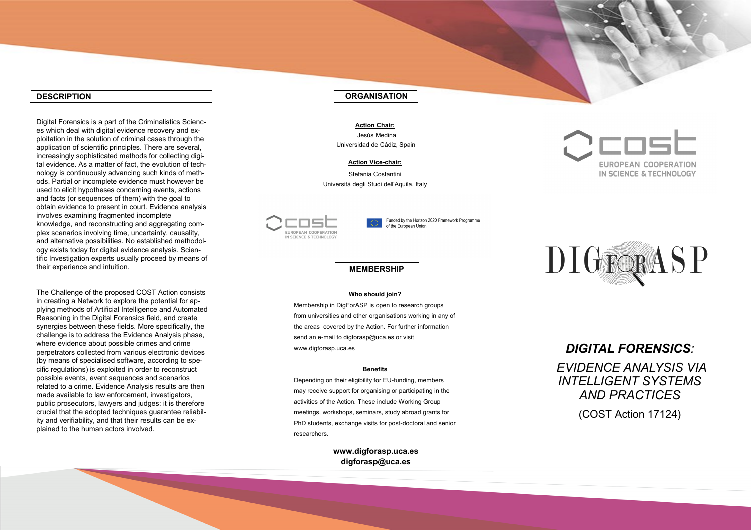#### **DESCRIPTION**

Digital Forensics is a part of the Criminalistics Sciences which deal with digital evidence recovery and exploitation in the solution of criminal cases through the application of scientific principles. There are several, increasingly sophisticated methods for collecting digital evidence. As a matter of fact, the evolution of technology is continuously advancing such kinds of methods. Partial or incomplete evidence must however be used to elicit hypotheses concerning events, actions and facts (or sequences of them) with the goal to obtain evidence to present in court. Evidence analysis involves examining fragmented incomplete knowledge, and reconstructing and aggregating complex scenarios involving time, uncertainty, causality, and alternative possibilities. No established methodology exists today for digital evidence analysis. Scientific Investigation experts usually proceed by means of their experience and intuition.

The Challenge of the proposed COST Action consists in creating a Network to explore the potential for applying methods of Artificial Intelligence and Automated Reasoning in the Digital Forensics field, and create synergies between these fields. More specifically, the challenge is to address the Evidence Analysis phase, where evidence about possible crimes and crime perpetrators collected from various electronic devices (by means of specialised software, according to specific regulations) is exploited in order to reconstruct possible events, event sequences and scenarios related to a crime. Evidence Analysis results are then made available to law enforcement, investigators, public prosecutors, lawyers and judges: it is therefore crucial that the adopted techniques guarantee reliability and verifiability, and that their results can be explained to the human actors involved.

# **ORGANISATION**

**Action Chair:** Jesús Medina Universidad de Cádiz, Spain

#### **Action Vice -chair:**

Stefania Costantini Università degli Studi dell'Aquila, Italy



Funded by the Horizon 2020 Framework Programme of the European Union

# **MEMBERSHIP**

#### **Who should join?**

Membership in DigForASP is open to research groups from universities and other organisations working in any of the areas covered by the Action. For further information send an e -mail to digforasp@uca.es or visit www.digforasp.uca.es

#### **Benefits**

Depending on their eligibility for EU -funding, members may receive support for organising or participating in the activities of the Action. These include Working Group meetings, workshops, seminars, study abroad grants for PhD students, exchange visits for post -doctoral and senior researchers.

> **www.digforasp.uca.es digforasp@uca.es**

# **EUROPEAN COOPERATION** IN SCIENCE & TECHNOLOGY



# *DIGITAL FORENSICS :*

*EVIDENCE ANALYSIS VIA INTELLIGENT SYSTEMS AND PRACTICES*

(COST Action 17124)